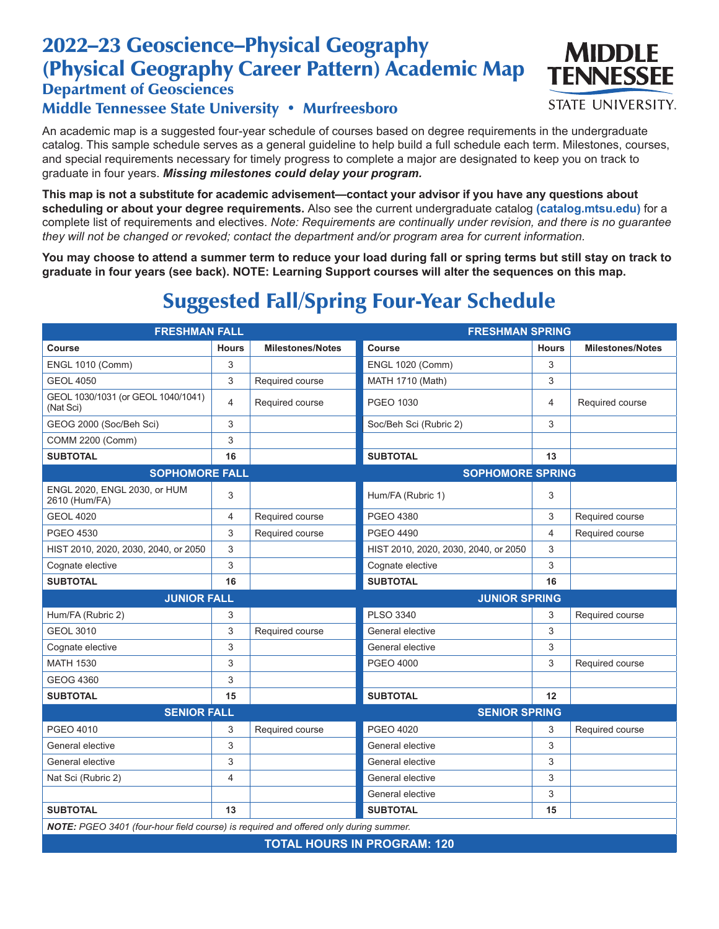## 2022–23 Geoscience–Physical Geography (Physical Geography Career Pattern) Academic Map

#### Department of Geosciences

#### Middle Tennessee State University • Murfreesboro

An academic map is a suggested four-year schedule of courses based on degree requirements in the undergraduate catalog. This sample schedule serves as a general guideline to help build a full schedule each term. Milestones, courses, and special requirements necessary for timely progress to complete a major are designated to keep you on track to graduate in four years. *Missing milestones could delay your program.*

**This map is not a substitute for academic advisement—contact your advisor if you have any questions about scheduling or about your degree requirements.** Also see the current undergraduate catalog **(catalog.mtsu.edu)** for a complete list of requirements and electives. *Note: Requirements are continually under revision, and there is no guarantee they will not be changed or revoked; contact the department and/or program area for current information.*

**You may choose to attend a summer term to reduce your load during fall or spring terms but still stay on track to graduate in four years (see back). NOTE: Learning Support courses will alter the sequences on this map.**

# Suggested Fall/Spring Four-Year Schedule

| <b>FRESHMAN FALL</b>                                                                 |                |                         | <b>FRESHMAN SPRING</b>               |              |                         |  |
|--------------------------------------------------------------------------------------|----------------|-------------------------|--------------------------------------|--------------|-------------------------|--|
| Course                                                                               | <b>Hours</b>   | <b>Milestones/Notes</b> | Course                               | <b>Hours</b> | <b>Milestones/Notes</b> |  |
| <b>ENGL 1010 (Comm)</b>                                                              | 3              |                         | <b>ENGL 1020 (Comm)</b>              | 3            |                         |  |
| <b>GEOL 4050</b>                                                                     | 3              | Required course         | MATH 1710 (Math)                     | 3            |                         |  |
| GEOL 1030/1031 (or GEOL 1040/1041)<br>(Nat Sci)                                      | 4              | Required course         | PGEO 1030                            | 4            | Required course         |  |
| GEOG 2000 (Soc/Beh Sci)                                                              | 3              |                         | Soc/Beh Sci (Rubric 2)               | 3            |                         |  |
| COMM 2200 (Comm)                                                                     | 3              |                         |                                      |              |                         |  |
| <b>SUBTOTAL</b>                                                                      | 16             |                         | <b>SUBTOTAL</b>                      | 13           |                         |  |
| <b>SOPHOMORE FALL</b>                                                                |                | <b>SOPHOMORE SPRING</b> |                                      |              |                         |  |
| ENGL 2020, ENGL 2030, or HUM<br>2610 (Hum/FA)                                        | 3              |                         | Hum/FA (Rubric 1)                    | 3            |                         |  |
| <b>GEOL 4020</b>                                                                     | 4              | Required course         | <b>PGEO 4380</b>                     | 3            | Required course         |  |
| <b>PGEO 4530</b>                                                                     | 3              | Required course         | <b>PGEO 4490</b>                     | 4            | Required course         |  |
| HIST 2010, 2020, 2030, 2040, or 2050                                                 | 3              |                         | HIST 2010, 2020, 2030, 2040, or 2050 | 3            |                         |  |
| Cognate elective                                                                     | 3              |                         | Cognate elective                     | 3            |                         |  |
| <b>SUBTOTAL</b>                                                                      | 16             |                         | <b>SUBTOTAL</b>                      | 16           |                         |  |
| <b>JUNIOR FALL</b>                                                                   |                |                         | <b>JUNIOR SPRING</b>                 |              |                         |  |
| Hum/FA (Rubric 2)                                                                    | 3              |                         | <b>PLSO 3340</b>                     | 3            | Required course         |  |
| <b>GEOL 3010</b>                                                                     | 3              | Required course         | General elective                     | 3            |                         |  |
| Cognate elective                                                                     | 3              |                         | General elective                     | 3            |                         |  |
| <b>MATH 1530</b>                                                                     | 3              |                         | <b>PGEO 4000</b>                     | 3            | Required course         |  |
| <b>GEOG 4360</b>                                                                     | 3              |                         |                                      |              |                         |  |
| <b>SUBTOTAL</b>                                                                      | 15             |                         | <b>SUBTOTAL</b>                      | 12           |                         |  |
| <b>SENIOR FALL</b>                                                                   |                | <b>SENIOR SPRING</b>    |                                      |              |                         |  |
| PGEO 4010                                                                            | 3              | Required course         | <b>PGEO 4020</b>                     | 3            | Required course         |  |
| General elective                                                                     | 3              |                         | General elective                     | 3            |                         |  |
|                                                                                      |                |                         | General elective                     | 3            |                         |  |
| General elective                                                                     | 3              |                         |                                      |              |                         |  |
| Nat Sci (Rubric 2)                                                                   | $\overline{4}$ |                         | General elective                     | 3            |                         |  |
|                                                                                      |                |                         | General elective                     | 3            |                         |  |
| <b>SUBTOTAL</b>                                                                      | 13             |                         | <b>SUBTOTAL</b>                      | 15           |                         |  |
| NOTE: PGEO 3401 (four-hour field course) is required and offered only during summer. |                |                         |                                      |              |                         |  |

**TOTAL HOURS IN PROGRAM: 120**



**STATE UNIVERSITY.**